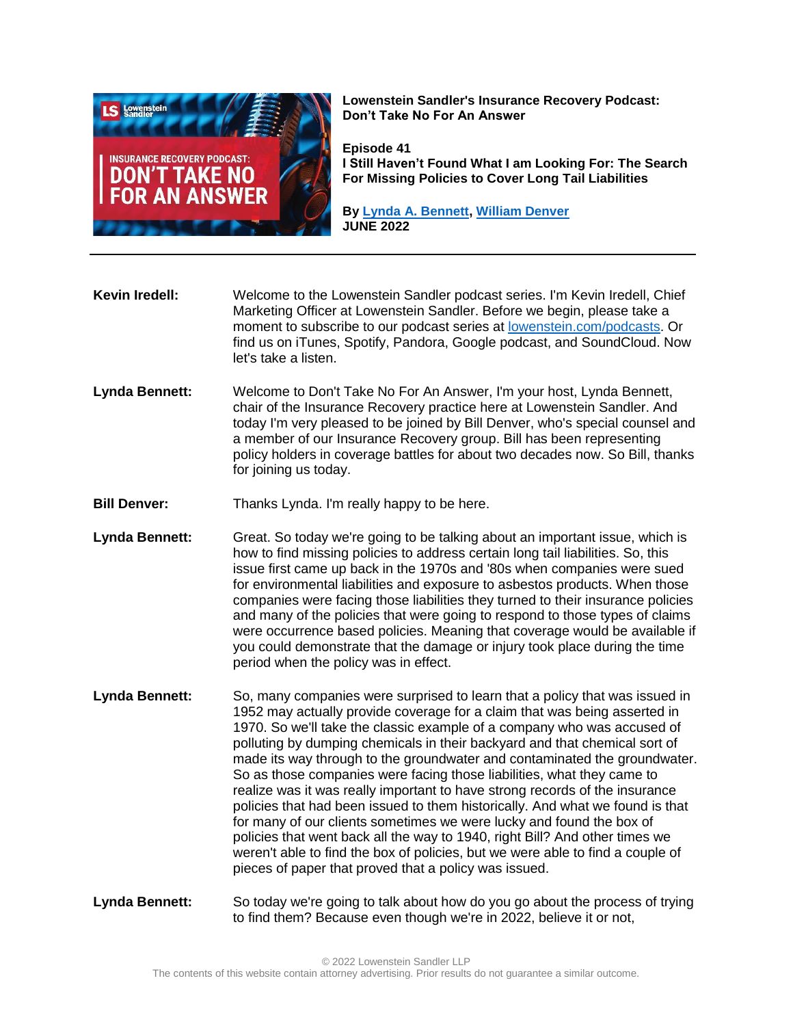

**Lowenstein Sandler's Insurance Recovery Podcast: Don't Take No For An Answer**

**Episode 41 I Still Haven't Found What I am Looking For: The Search For Missing Policies to Cover Long Tail Liabilities**

**By [Lynda A. Bennett,](https://www.lowenstein.com/people/attorneys/lynda-bennett) [William Denver](https://www.lowenstein.com/people/attorneys/william-denver) JUNE 2022**

**Kevin Iredell:** Welcome to the Lowenstein Sandler podcast series. I'm Kevin Iredell, Chief Marketing Officer at Lowenstein Sandler. Before we begin, please take a moment to subscribe to our podcast series at [lowenstein.com/podcasts.](https://www.lowenstein.com/podcasts) Or find us on iTunes, Spotify, Pandora, Google podcast, and SoundCloud. Now let's take a listen.

- **Lynda Bennett:** Welcome to Don't Take No For An Answer, I'm your host, Lynda Bennett, chair of the Insurance Recovery practice here at Lowenstein Sandler. And today I'm very pleased to be joined by Bill Denver, who's special counsel and a member of our Insurance Recovery group. Bill has been representing policy holders in coverage battles for about two decades now. So Bill, thanks for joining us today.
- **Bill Denver:** Thanks Lynda. I'm really happy to be here.
- **Lynda Bennett:** Great. So today we're going to be talking about an important issue, which is how to find missing policies to address certain long tail liabilities. So, this issue first came up back in the 1970s and '80s when companies were sued for environmental liabilities and exposure to asbestos products. When those companies were facing those liabilities they turned to their insurance policies and many of the policies that were going to respond to those types of claims were occurrence based policies. Meaning that coverage would be available if you could demonstrate that the damage or injury took place during the time period when the policy was in effect.
- **Lynda Bennett:** So, many companies were surprised to learn that a policy that was issued in 1952 may actually provide coverage for a claim that was being asserted in 1970. So we'll take the classic example of a company who was accused of polluting by dumping chemicals in their backyard and that chemical sort of made its way through to the groundwater and contaminated the groundwater. So as those companies were facing those liabilities, what they came to realize was it was really important to have strong records of the insurance policies that had been issued to them historically. And what we found is that for many of our clients sometimes we were lucky and found the box of policies that went back all the way to 1940, right Bill? And other times we weren't able to find the box of policies, but we were able to find a couple of pieces of paper that proved that a policy was issued.
- **Lynda Bennett:** So today we're going to talk about how do you go about the process of trying to find them? Because even though we're in 2022, believe it or not,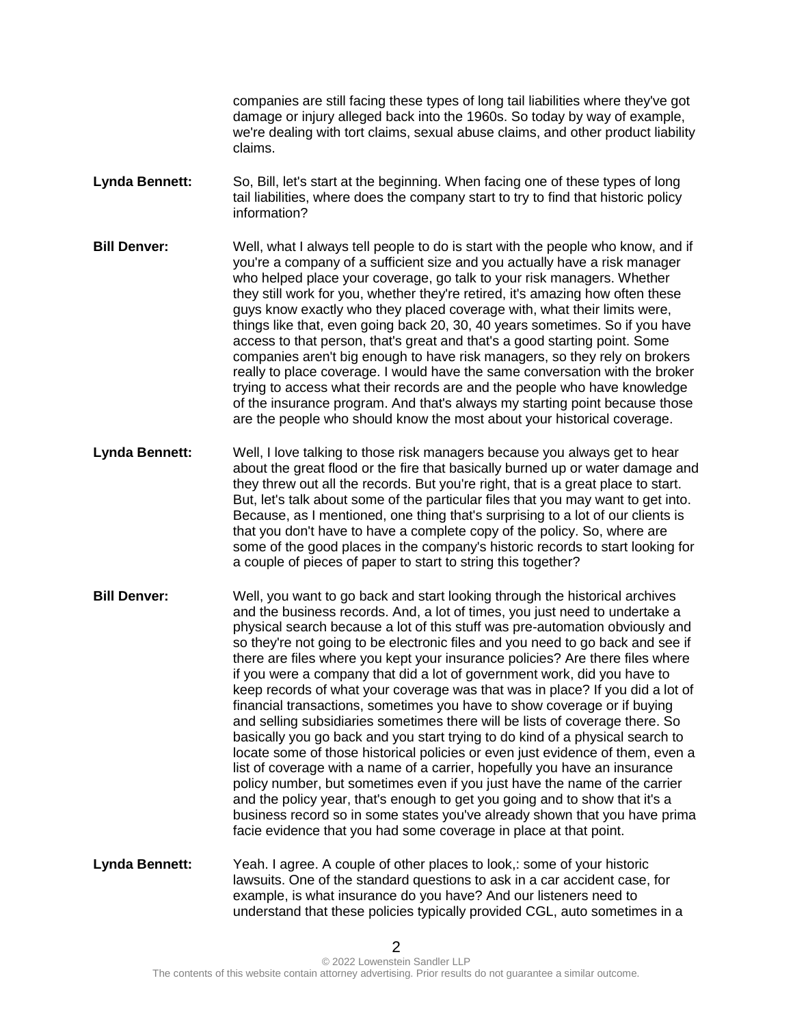companies are still facing these types of long tail liabilities where they've got damage or injury alleged back into the 1960s. So today by way of example, we're dealing with tort claims, sexual abuse claims, and other product liability claims.

- **Lynda Bennett:** So, Bill, let's start at the beginning. When facing one of these types of long tail liabilities, where does the company start to try to find that historic policy information?
- **Bill Denver:** Well, what I always tell people to do is start with the people who know, and if you're a company of a sufficient size and you actually have a risk manager who helped place your coverage, go talk to your risk managers. Whether they still work for you, whether they're retired, it's amazing how often these guys know exactly who they placed coverage with, what their limits were, things like that, even going back 20, 30, 40 years sometimes. So if you have access to that person, that's great and that's a good starting point. Some companies aren't big enough to have risk managers, so they rely on brokers really to place coverage. I would have the same conversation with the broker trying to access what their records are and the people who have knowledge of the insurance program. And that's always my starting point because those are the people who should know the most about your historical coverage.
- **Lynda Bennett:** Well, I love talking to those risk managers because you always get to hear about the great flood or the fire that basically burned up or water damage and they threw out all the records. But you're right, that is a great place to start. But, let's talk about some of the particular files that you may want to get into. Because, as I mentioned, one thing that's surprising to a lot of our clients is that you don't have to have a complete copy of the policy. So, where are some of the good places in the company's historic records to start looking for a couple of pieces of paper to start to string this together?
- **Bill Denver:** Well, you want to go back and start looking through the historical archives and the business records. And, a lot of times, you just need to undertake a physical search because a lot of this stuff was pre-automation obviously and so they're not going to be electronic files and you need to go back and see if there are files where you kept your insurance policies? Are there files where if you were a company that did a lot of government work, did you have to keep records of what your coverage was that was in place? If you did a lot of financial transactions, sometimes you have to show coverage or if buying and selling subsidiaries sometimes there will be lists of coverage there. So basically you go back and you start trying to do kind of a physical search to locate some of those historical policies or even just evidence of them, even a list of coverage with a name of a carrier, hopefully you have an insurance policy number, but sometimes even if you just have the name of the carrier and the policy year, that's enough to get you going and to show that it's a business record so in some states you've already shown that you have prima facie evidence that you had some coverage in place at that point.
- **Lynda Bennett:** Yeah. I agree. A couple of other places to look,: some of your historic lawsuits. One of the standard questions to ask in a car accident case, for example, is what insurance do you have? And our listeners need to understand that these policies typically provided CGL, auto sometimes in a

2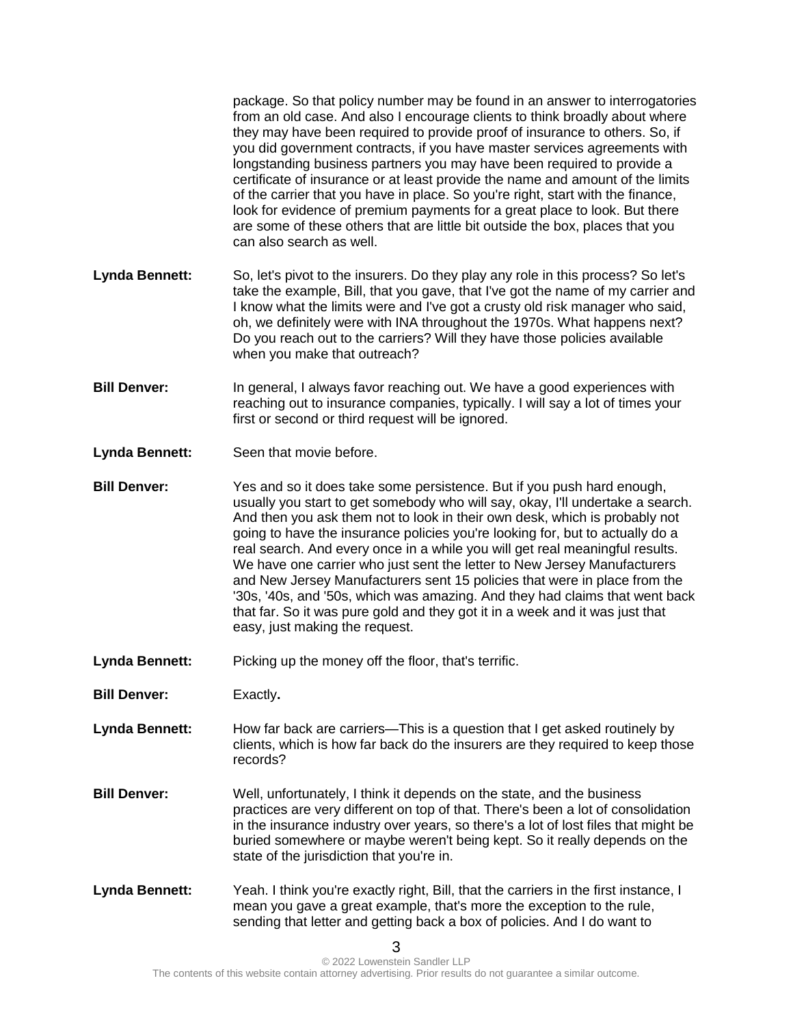package. So that policy number may be found in an answer to interrogatories from an old case. And also I encourage clients to think broadly about where they may have been required to provide proof of insurance to others. So, if you did government contracts, if you have master services agreements with longstanding business partners you may have been required to provide a certificate of insurance or at least provide the name and amount of the limits of the carrier that you have in place. So you're right, start with the finance, look for evidence of premium payments for a great place to look. But there are some of these others that are little bit outside the box, places that you can also search as well.

- **Lynda Bennett:** So, let's pivot to the insurers. Do they play any role in this process? So let's take the example, Bill, that you gave, that I've got the name of my carrier and I know what the limits were and I've got a crusty old risk manager who said, oh, we definitely were with INA throughout the 1970s. What happens next? Do you reach out to the carriers? Will they have those policies available when you make that outreach?
- **Bill Denver:** In general, I always favor reaching out. We have a good experiences with reaching out to insurance companies, typically. I will say a lot of times your first or second or third request will be ignored.
- **Lynda Bennett:** Seen that movie before.
- **Bill Denver:** Yes and so it does take some persistence. But if you push hard enough, usually you start to get somebody who will say, okay, I'll undertake a search. And then you ask them not to look in their own desk, which is probably not going to have the insurance policies you're looking for, but to actually do a real search. And every once in a while you will get real meaningful results. We have one carrier who just sent the letter to New Jersey Manufacturers and New Jersey Manufacturers sent 15 policies that were in place from the '30s, '40s, and '50s, which was amazing. And they had claims that went back that far. So it was pure gold and they got it in a week and it was just that easy, just making the request.
- Lynda Bennett: Picking up the money off the floor, that's terrific.
- **Bill Denver:** Exactly**.**

Lynda Bennett: How far back are carriers—This is a question that I get asked routinely by clients, which is how far back do the insurers are they required to keep those records?

- **Bill Denver:** Well, unfortunately, I think it depends on the state, and the business practices are very different on top of that. There's been a lot of consolidation in the insurance industry over years, so there's a lot of lost files that might be buried somewhere or maybe weren't being kept. So it really depends on the state of the jurisdiction that you're in.
- Lynda Bennett: Yeah. I think you're exactly right, Bill, that the carriers in the first instance, I mean you gave a great example, that's more the exception to the rule, sending that letter and getting back a box of policies. And I do want to

3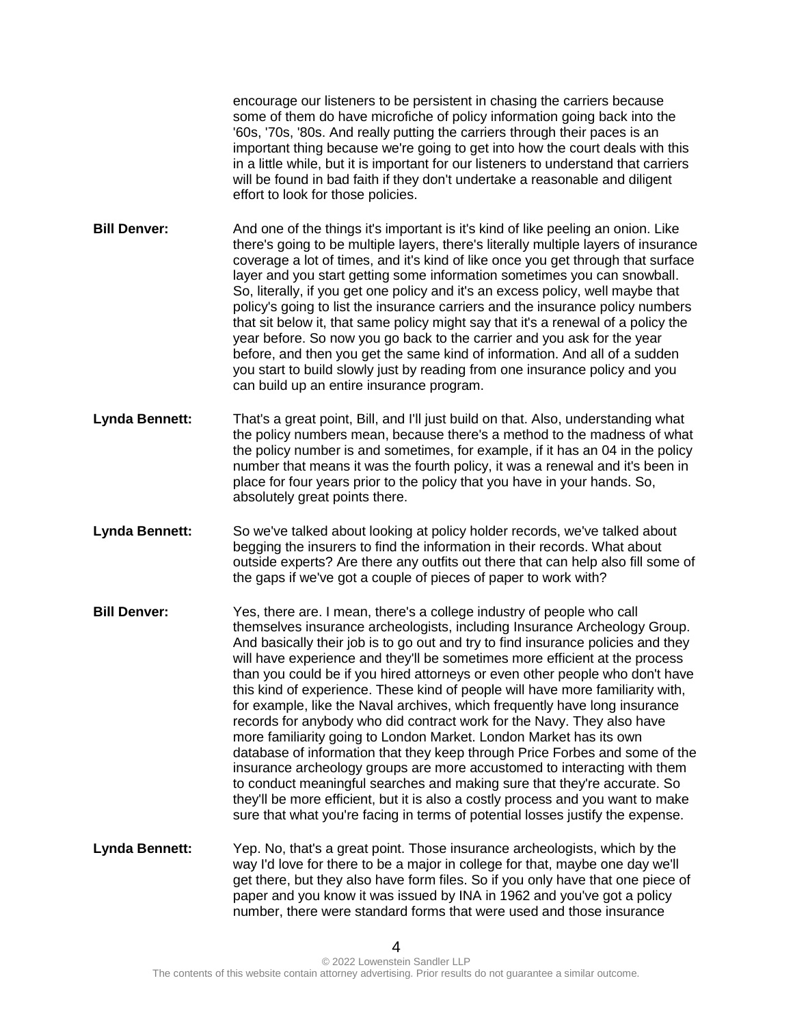encourage our listeners to be persistent in chasing the carriers because some of them do have microfiche of policy information going back into the '60s, '70s, '80s. And really putting the carriers through their paces is an important thing because we're going to get into how the court deals with this in a little while, but it is important for our listeners to understand that carriers will be found in bad faith if they don't undertake a reasonable and diligent effort to look for those policies.

- **Bill Denver:** And one of the things it's important is it's kind of like peeling an onion. Like there's going to be multiple layers, there's literally multiple layers of insurance coverage a lot of times, and it's kind of like once you get through that surface layer and you start getting some information sometimes you can snowball. So, literally, if you get one policy and it's an excess policy, well maybe that policy's going to list the insurance carriers and the insurance policy numbers that sit below it, that same policy might say that it's a renewal of a policy the year before. So now you go back to the carrier and you ask for the year before, and then you get the same kind of information. And all of a sudden you start to build slowly just by reading from one insurance policy and you can build up an entire insurance program.
- **Lynda Bennett:** That's a great point, Bill, and I'll just build on that. Also, understanding what the policy numbers mean, because there's a method to the madness of what the policy number is and sometimes, for example, if it has an 04 in the policy number that means it was the fourth policy, it was a renewal and it's been in place for four years prior to the policy that you have in your hands. So, absolutely great points there.
- **Lynda Bennett:** So we've talked about looking at policy holder records, we've talked about begging the insurers to find the information in their records. What about outside experts? Are there any outfits out there that can help also fill some of the gaps if we've got a couple of pieces of paper to work with?
- **Bill Denver:** Yes, there are. I mean, there's a college industry of people who call themselves insurance archeologists, including Insurance Archeology Group. And basically their job is to go out and try to find insurance policies and they will have experience and they'll be sometimes more efficient at the process than you could be if you hired attorneys or even other people who don't have this kind of experience. These kind of people will have more familiarity with, for example, like the Naval archives, which frequently have long insurance records for anybody who did contract work for the Navy. They also have more familiarity going to London Market. London Market has its own database of information that they keep through Price Forbes and some of the insurance archeology groups are more accustomed to interacting with them to conduct meaningful searches and making sure that they're accurate. So they'll be more efficient, but it is also a costly process and you want to make sure that what you're facing in terms of potential losses justify the expense.
- **Lynda Bennett:** Yep. No, that's a great point. Those insurance archeologists, which by the way I'd love for there to be a major in college for that, maybe one day we'll get there, but they also have form files. So if you only have that one piece of paper and you know it was issued by INA in 1962 and you've got a policy number, there were standard forms that were used and those insurance

 $\Delta$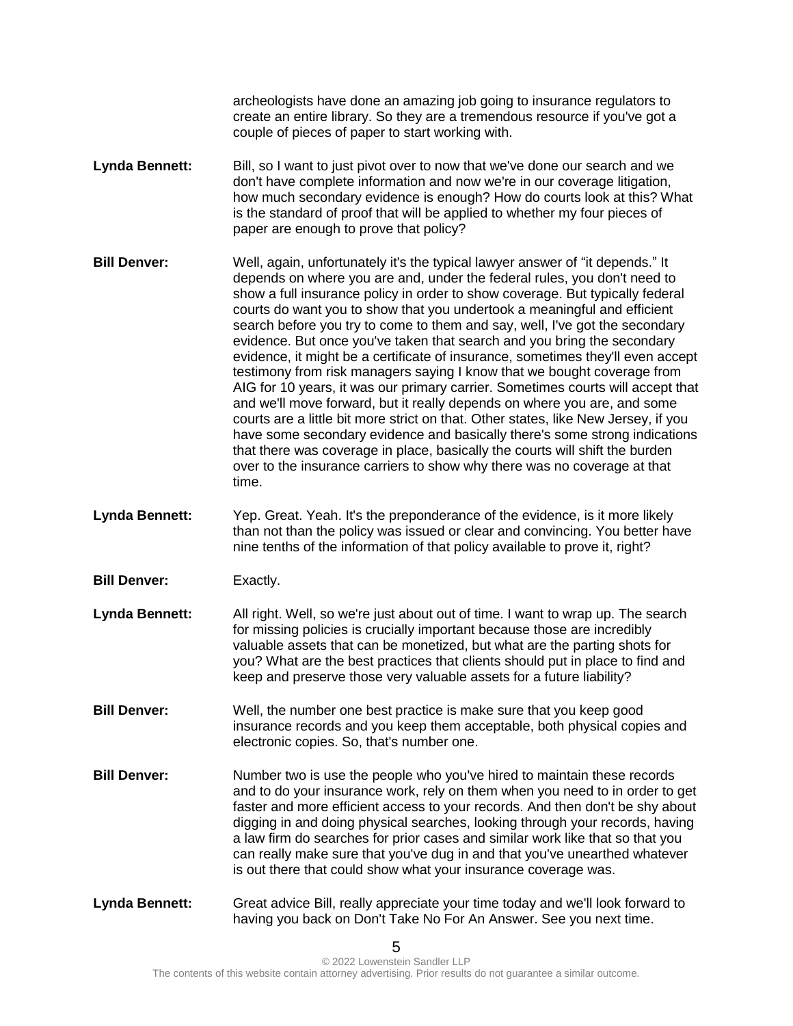archeologists have done an amazing job going to insurance regulators to create an entire library. So they are a tremendous resource if you've got a couple of pieces of paper to start working with.

- Lynda Bennett: Bill, so I want to just pivot over to now that we've done our search and we don't have complete information and now we're in our coverage litigation, how much secondary evidence is enough? How do courts look at this? What is the standard of proof that will be applied to whether my four pieces of paper are enough to prove that policy?
- **Bill Denver:** Well, again, unfortunately it's the typical lawyer answer of "it depends." It depends on where you are and, under the federal rules, you don't need to show a full insurance policy in order to show coverage. But typically federal courts do want you to show that you undertook a meaningful and efficient search before you try to come to them and say, well, I've got the secondary evidence. But once you've taken that search and you bring the secondary evidence, it might be a certificate of insurance, sometimes they'll even accept testimony from risk managers saying I know that we bought coverage from AIG for 10 years, it was our primary carrier. Sometimes courts will accept that and we'll move forward, but it really depends on where you are, and some courts are a little bit more strict on that. Other states, like New Jersey, if you have some secondary evidence and basically there's some strong indications that there was coverage in place, basically the courts will shift the burden over to the insurance carriers to show why there was no coverage at that time.
- **Lynda Bennett:** Yep. Great. Yeah. It's the preponderance of the evidence, is it more likely than not than the policy was issued or clear and convincing. You better have nine tenths of the information of that policy available to prove it, right?
- **Bill Denver:** Exactly.
- **Lynda Bennett:** All right. Well, so we're just about out of time. I want to wrap up. The search for missing policies is crucially important because those are incredibly valuable assets that can be monetized, but what are the parting shots for you? What are the best practices that clients should put in place to find and keep and preserve those very valuable assets for a future liability?
- **Bill Denver:** Well, the number one best practice is make sure that you keep good insurance records and you keep them acceptable, both physical copies and electronic copies. So, that's number one.
- **Bill Denver:** Number two is use the people who you've hired to maintain these records and to do your insurance work, rely on them when you need to in order to get faster and more efficient access to your records. And then don't be shy about digging in and doing physical searches, looking through your records, having a law firm do searches for prior cases and similar work like that so that you can really make sure that you've dug in and that you've unearthed whatever is out there that could show what your insurance coverage was.
- **Lynda Bennett:** Great advice Bill, really appreciate your time today and we'll look forward to having you back on Don't Take No For An Answer. See you next time.

5